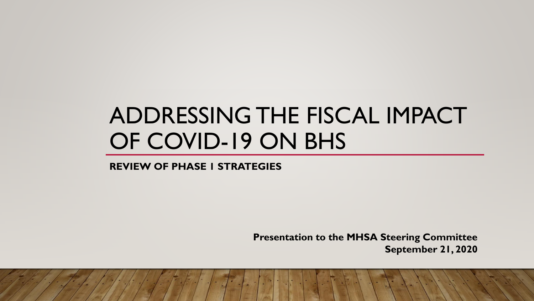# ADDRESSING THE FISCAL IMPACT OF COVID-19 ON BHS

#### **REVIEW OF PHASE 1 STRATEGIES**

**Presentation to the MHSA Steering Committee September 21, 2020**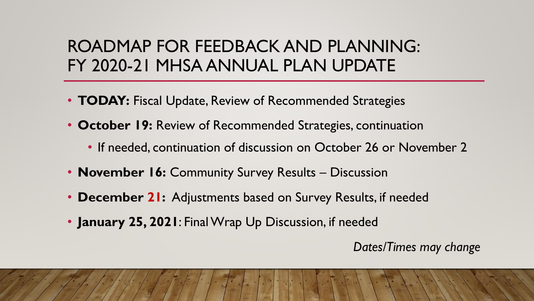#### ROADMAP FOR FEEDBACK AND PLANNING: FY 2020-21 MHSA ANNUAL PLAN UPDATE

- **TODAY:** Fiscal Update, Review of Recommended Strategies
- **October 19:** Review of Recommended Strategies, continuation
	- If needed, continuation of discussion on October 26 or November 2
- **November 16:** Community Survey Results Discussion
- **December 21:** Adjustments based on Survey Results, if needed
- **January 25, 2021**: Final Wrap Up Discussion, if needed

*Dates/Times may change*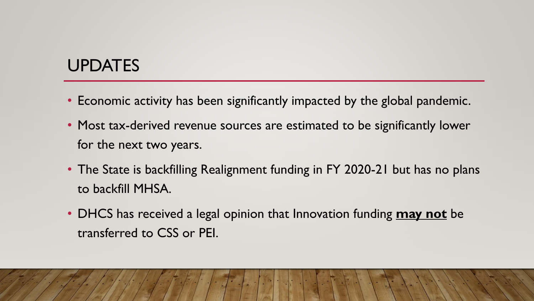#### **UPDATES**

- Economic activity has been significantly impacted by the global pandemic.
- Most tax-derived revenue sources are estimated to be significantly lower for the next two years.
- The State is backfilling Realignment funding in FY 2020-21 but has no plans to backfill MHSA.
- DHCS has received a legal opinion that Innovation funding **may not** be transferred to CSS or PEI.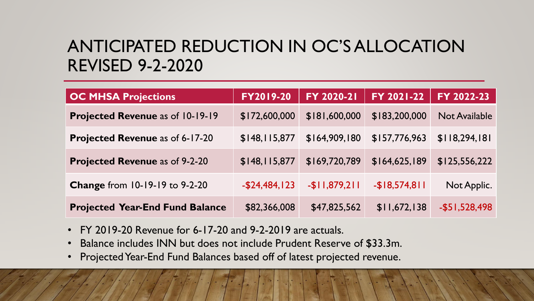#### ANTICIPATED REDUCTION IN OC'S ALLOCATION REVISED 9-2-2020

| <b>OC MHSA Projections</b>             | FY2019-20        | FY 2020-21     | FY 2021-22     | FY 2022-23           |
|----------------------------------------|------------------|----------------|----------------|----------------------|
| Projected Revenue as of 10-19-19       | \$172,600,000    | \$181,600,000  | \$183,200,000  | <b>Not Available</b> |
| <b>Projected Revenue as of 6-17-20</b> | \$148,115,877    | \$164,909,180  | \$157,776,963  | \$118,294,181        |
| <b>Projected Revenue as of 9-2-20</b>  | \$148, 115, 877  | \$169,720,789  | \$164,625,189  | \$125,556,222        |
| <b>Change from 10-19-19 to 9-2-20</b>  | $-$ \$24,484,123 | $-$11,879,211$ | $-$18,574,811$ | Not Applic.          |
| <b>Projected Year-End Fund Balance</b> | \$82,366,008     | \$47,825,562   | \$11,672,138   | $-$ \$51,528,498     |

- FY 2019-20 Revenue for 6-17-20 and 9-2-2019 are actuals.
- Balance includes INN but does not include Prudent Reserve of \$33.3m.
- Projected Year-End Fund Balances based off of latest projected revenue.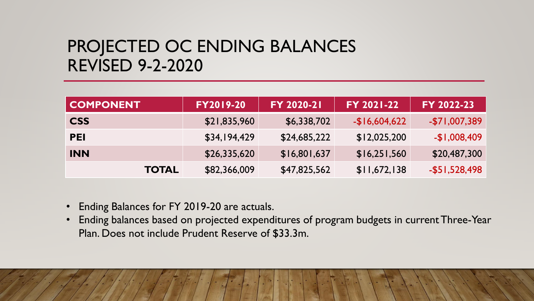#### PROJECTED OC ENDING BALANCES REVISED 9-2-2020

| <b>COMPONENT</b> | <b>FY2019-20</b> | <b>FY 2020-21</b> | <b>FY 2021-22</b> | <b>FY 2022-23</b> |
|------------------|------------------|-------------------|-------------------|-------------------|
| <b>CSS</b>       | \$21,835,960     | \$6,338,702       | $-$ \$16,604,622  | $-$71,007,389$    |
| <b>PEI</b>       | \$34,194,429     | \$24,685,222      | \$12,025,200      | $-$1,008,409$     |
| <b>INN</b>       | \$26,335,620     | \$16,801,637      | \$16,251,560      | \$20,487,300      |
| <b>TOTAL</b>     | \$82,366,009     | \$47,825,562      | \$11,672,138      | $-$ \$51,528,498  |

- Ending Balances for FY 2019-20 are actuals.
- Ending balances based on projected expenditures of program budgets in current Three-Year Plan. Does not include Prudent Reserve of \$33.3m.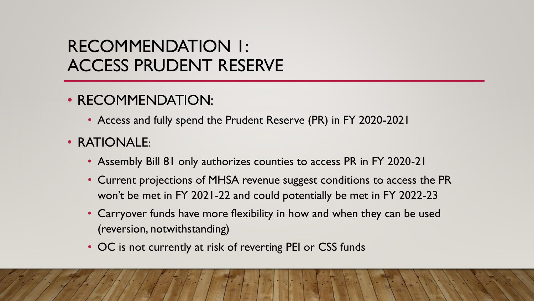#### RECOMMENDATION 1: ACCESS PRUDENT RESERVE

- RECOMMENDATION:
	- Access and fully spend the Prudent Reserve (PR) in FY 2020-2021
- RATIONALE:
	- Assembly Bill 81 only authorizes counties to access PR in FY 2020-21
	- Current projections of MHSA revenue suggest conditions to access the PR won't be met in FY 2021-22 and could potentially be met in FY 2022-23
	- Carryover funds have more flexibility in how and when they can be used (reversion, notwithstanding)
	- OC is not currently at risk of reverting PEI or CSS funds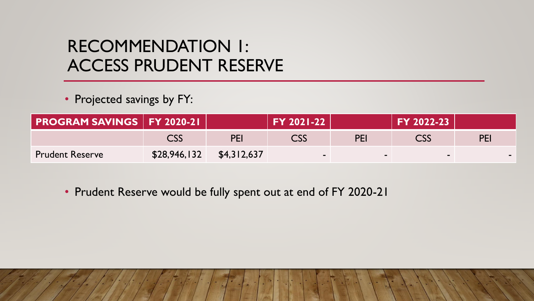#### RECOMMENDATION 1: ACCESS PRUDENT RESERVE

• Projected savings by FY:

| <b>PROGRAM SAVINGS   FY 2020-21   </b> |              |             | <b>FY 2021-221</b> |            | FY 2022-23     |            |
|----------------------------------------|--------------|-------------|--------------------|------------|----------------|------------|
|                                        |              | <b>PEI</b>  | CSS                | <b>PEI</b> |                | <b>PEI</b> |
| <b>Prudent Reserve</b>                 | \$28,946,132 | \$4,312,637 |                    |            | $\blacksquare$ |            |

• Prudent Reserve would be fully spent out at end of FY 2020-21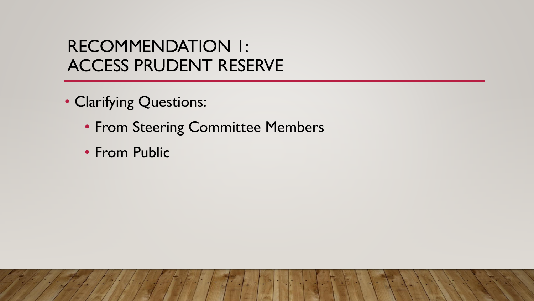#### RECOMMENDATION 1: ACCESS PRUDENT RESERVE

- Clarifying Questions:
	- From Steering Committee Members
	- From Public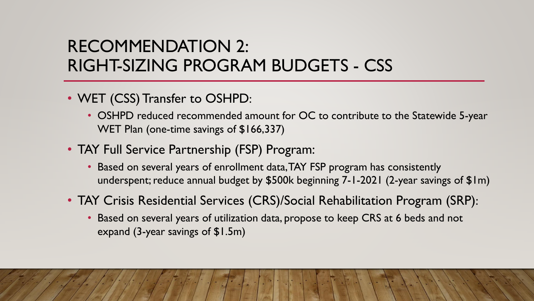## RECOMMENDATION 2: RIGHT-SIZING PROGRAM BUDGETS - CSS

- WET (CSS) Transfer to OSHPD:
	- OSHPD reduced recommended amount for OC to contribute to the Statewide 5-year WET Plan (one-time savings of \$166,337)
- TAY Full Service Partnership (FSP) Program:
	- Based on several years of enrollment data, TAY FSP program has consistently underspent; reduce annual budget by \$500k beginning 7-1-2021 (2-year savings of \$1m)
- TAY Crisis Residential Services (CRS)/Social Rehabilitation Program (SRP):
	- Based on several years of utilization data, propose to keep CRS at 6 beds and not expand (3-year savings of \$1.5m)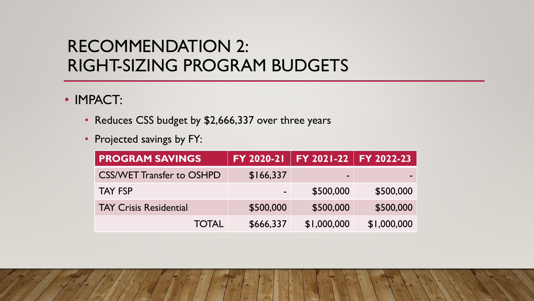#### RECOMMENDATION 2: RIGHT-SIZING PROGRAM BUDGETS

- IMPACT:
	- Reduces CSS budget by \$2,666,337 over three years
	- Projected savings by FY:

| <b>PROGRAM SAVINGS</b>           | <b>FY 2020-21</b> | FY 2021-22   FY 2022-23 |             |
|----------------------------------|-------------------|-------------------------|-------------|
| <b>CSS/WET Transfer to OSHPD</b> | \$166,337         | $\blacksquare$          |             |
| <b>TAY FSP</b>                   | $\blacksquare$    | \$500,000               | \$500,000   |
| <b>TAY Crisis Residential</b>    | \$500,000         | \$500,000               | \$500,000   |
| <b>TOTAL</b>                     | \$666,337         | \$1,000,000             | \$1,000,000 |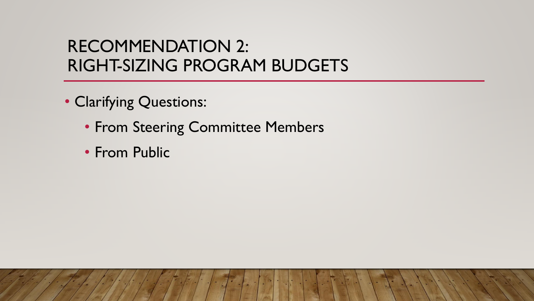#### RECOMMENDATION 2: RIGHT-SIZING PROGRAM BUDGETS

- Clarifying Questions:
	- From Steering Committee Members
	- From Public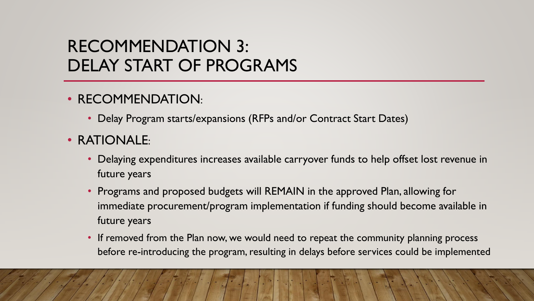### RECOMMENDATION 3: DELAY START OF PROGRAMS

- RECOMMENDATION:
	- Delay Program starts/expansions (RFPs and/or Contract Start Dates)
- RATIONALE:
	- Delaying expenditures increases available carryover funds to help offset lost revenue in future years
	- Programs and proposed budgets will REMAIN in the approved Plan, allowing for immediate procurement/program implementation if funding should become available in future years
	- If removed from the Plan now, we would need to repeat the community planning process before re-introducing the program, resulting in delays before services could be implemented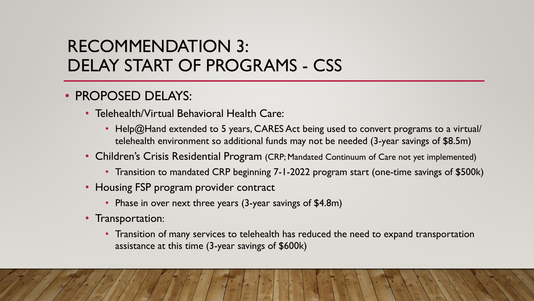## RECOMMENDATION 3: DELAY START OF PROGRAMS - CSS

#### • PROPOSED DELAYS:

- Telehealth/Virtual Behavioral Health Care:
	- Help@Hand extended to 5 years, CARES Act being used to convert programs to a virtual/ telehealth environment so additional funds may not be needed (3-year savings of \$8.5m)
- Children's Crisis Residential Program (CRP; Mandated Continuum of Care not yet implemented)
	- Transition to mandated CRP beginning 7-1-2022 program start (one-time savings of \$500k)
- Housing FSP program provider contract
	- Phase in over next three years (3-year savings of \$4.8m)
- Transportation:
	- Transition of many services to telehealth has reduced the need to expand transportation assistance at this time (3-year savings of \$600k)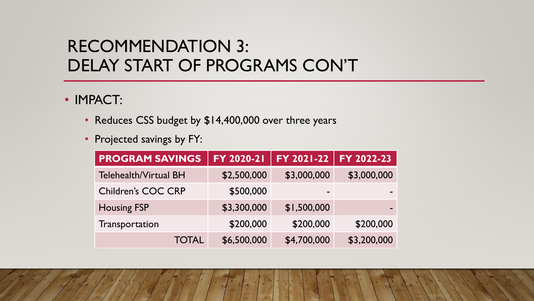#### RECOMMENDATION 3: DELAY START OF PROGRAMS CON'T

#### • IMPACT:

- Reduces CSS budget by \$14,400,000 over three years
- Projected savings by FY:

| <b>PROGRAM SAVINGS</b>    | FY 2020-21  | FY 2021-22     | FY 2022-23  |
|---------------------------|-------------|----------------|-------------|
| Telehealth/Virtual BH     | \$2,500,000 | \$3,000,000    | \$3,000,000 |
| <b>Children's COC CRP</b> | \$500,000   | $\blacksquare$ |             |
| <b>Housing FSP</b>        | \$3,300,000 | \$1,500,000    |             |
| Transportation            | \$200,000   | \$200,000      | \$200,000   |
| <b>TOTAL</b>              | \$6,500,000 | \$4,700,000    | \$3,200,000 |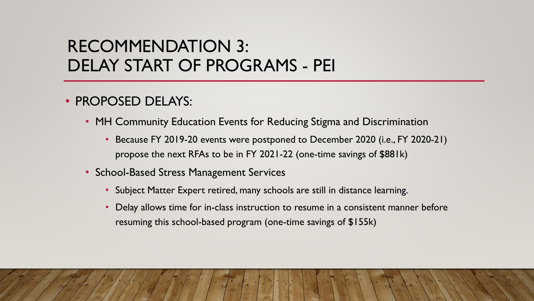#### RECOMMENDATION 3: DELAY START OF PROGRAMS - PEI

- PROPOSED DELAYS:
	- MH Community Education Events for Reducing Stigma and Discrimination
		- Because FY 2019-20 events were postponed to December 2020 (i.e., FY 2020-21) propose the next RFAs to be in FY 2021-22 (one-time savings of \$881k)
	- School-Based Stress Management Services
		- Subject Matter Expert retired, many schools are still in distance learning.
		- Delay allows time for in-class instruction to resume in a consistent manner before resuming this school-based program (one-time savings of \$155k)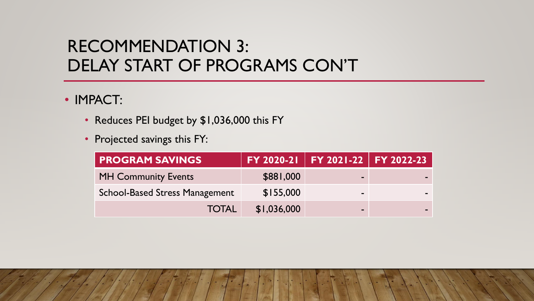#### RECOMMENDATION 3: DELAY START OF PROGRAMS CON'T

#### • IMPACT:

- Reduces PEI budget by \$1,036,000 this FY
- Projected savings this FY:

| <b>PROGRAM SAVINGS</b>                |             | FY 2020-21   FY 2021-22   FY 2022-23 |  |
|---------------------------------------|-------------|--------------------------------------|--|
| <b>MH Community Events</b>            | \$881,000   | $\sim$                               |  |
| <b>School-Based Stress Management</b> | \$155,000   | -                                    |  |
| <b>TOTAL</b>                          | \$1,036,000 | $\equiv$                             |  |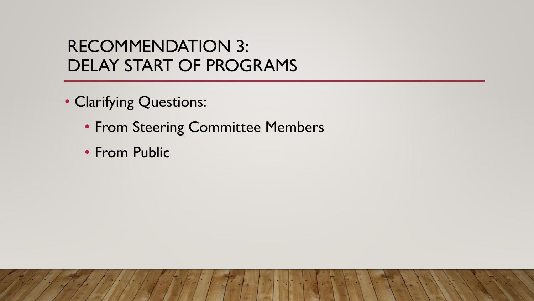#### RECOMMENDATION 3: DELAY START OF PROGRAMS

- Clarifying Questions:
	- From Steering Committee Members
	- From Public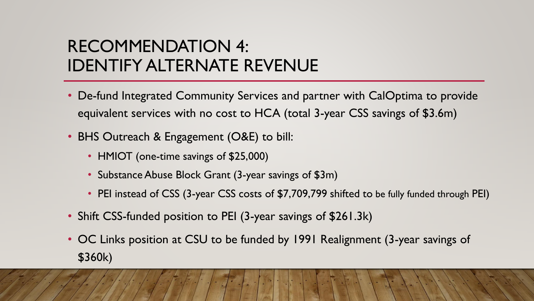## RECOMMENDATION 4: IDENTIFY ALTERNATE REVENUE

- De-fund Integrated Community Services and partner with CalOptima to provide equivalent services with no cost to HCA (total 3-year CSS savings of \$3.6m)
- BHS Outreach & Engagement (O&E) to bill:
	- HMIOT (one-time savings of \$25,000)
	- Substance Abuse Block Grant (3-year savings of \$3m)
	- PEI instead of CSS (3-year CSS costs of \$7,709,799 shifted to be fully funded through PEI)
- Shift CSS-funded position to PEI (3-year savings of \$261.3k)
- OC Links position at CSU to be funded by 1991 Realignment (3-year savings of \$360k)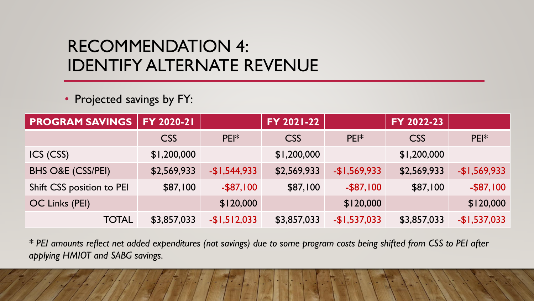#### RECOMMENDATION 4: IDENTIFY ALTERNATE REVENUE

• Projected savings by FY:

| <b>PROGRAM SAVINGS</b>       | FY 2020-21  |                 | FY 2021-22  |               | FY 2022-23  |               |
|------------------------------|-------------|-----------------|-------------|---------------|-------------|---------------|
|                              | <b>CSS</b>  | $PEI*$          | <b>CSS</b>  | $PEI*$        | <b>CSS</b>  | $PEI*$        |
| ICS (CSS)                    | \$1,200,000 |                 | \$1,200,000 |               | \$1,200,000 |               |
| <b>BHS O&amp;E (CSS/PEI)</b> | \$2,569,933 | $-$1,544,933$   | \$2,569,933 | $-$1,569,933$ | \$2,569,933 | $-$1,569,933$ |
| Shift CSS position to PEI    | \$87,100    | $-$ \$87,100    | \$87,100    | $-$ \$87,100  | \$87,100    | $-$ \$87,100  |
| OC Links (PEI)               |             | \$120,000       |             | \$120,000     |             | \$120,000     |
| <b>TOTAL</b>                 | \$3,857,033 | $-$ \$1,512,033 | \$3,857,033 | $-$1,537,033$ | \$3,857,033 | $-$1,537,033$ |

*\* PEI amounts reflect net added expenditures (not savings) due to some program costs being shifted from CSS to PEI after applying HMIOT and SABG savings.*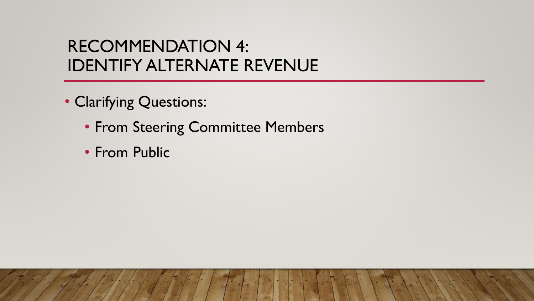#### RECOMMENDATION 4: IDENTIFY ALTERNATE REVENUE

- Clarifying Questions:
	- From Steering Committee Members
	- From Public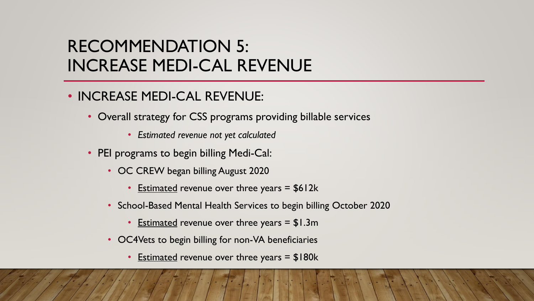### RECOMMENDATION 5: INCREASE MEDI-CAL REVENUE

- INCREASE MEDI-CAL REVENUE:
	- Overall strategy for CSS programs providing billable services
		- *Estimated revenue not yet calculated*
	- PEI programs to begin billing Medi-Cal:
		- OC CREW began billing August 2020
			- Estimated revenue over three years = \$612k
		- School-Based Mental Health Services to begin billing October 2020
			- Estimated revenue over three years = \$1.3m
		- OC4Vets to begin billing for non-VA beneficiaries
			- Estimated revenue over three years = \$180k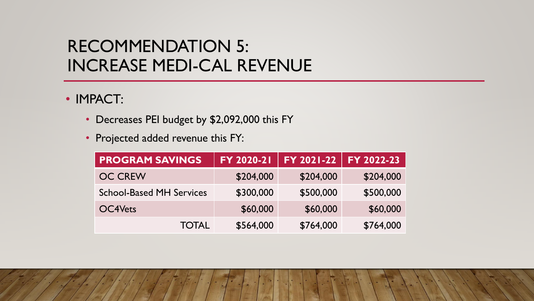#### RECOMMENDATION 5: INCREASE MEDI-CAL REVENUE

- IMPACT:
	- Decreases PEI budget by \$2,092,000 this FY
	- Projected added revenue this FY:

| <b>PROGRAM SAVINGS</b>          | <b>FY 2020-21</b> | <b>FY 2021-22</b> | FY 2022-23 |
|---------------------------------|-------------------|-------------------|------------|
| <b>OC CREW</b>                  | \$204,000         | \$204,000         | \$204,000  |
| <b>School-Based MH Services</b> | \$300,000         | \$500,000         | \$500,000  |
| OC4Vets                         | \$60,000          | \$60,000          | \$60,000   |
| <b>TOTAL</b>                    | \$564,000         | \$764,000         | \$764,000  |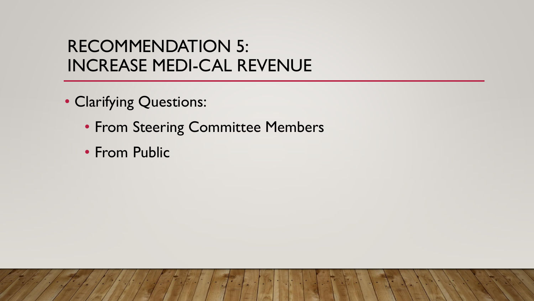#### RECOMMENDATION 5: INCREASE MEDI-CAL REVENUE

- Clarifying Questions:
	- From Steering Committee Members
	- From Public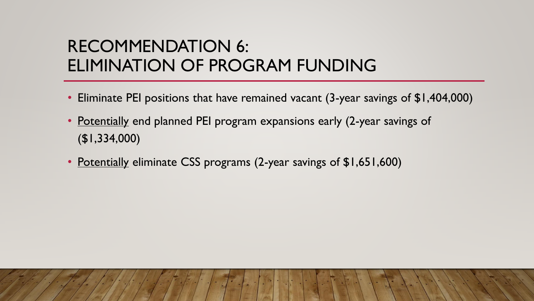## RECOMMENDATION 6: ELIMINATION OF PROGRAM FUNDING

- Eliminate PEI positions that have remained vacant (3-year savings of \$1,404,000)
- Potentially end planned PEI program expansions early (2-year savings of (\$1,334,000)
- Potentially eliminate CSS programs (2-year savings of \$1,651,600)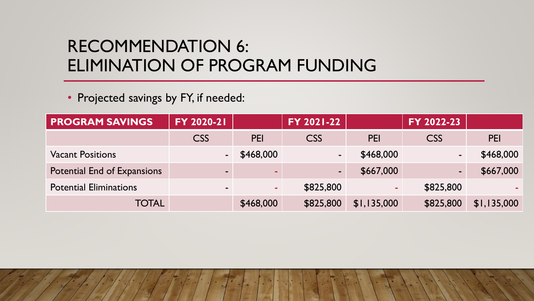## RECOMMENDATION 6: ELIMINATION OF PROGRAM FUNDING

• Projected savings by FY, if needed:

| <b>PROGRAM SAVINGS</b>        | FY 2020-21     |            | FY 2021-22               |             | FY 2022-23 |             |
|-------------------------------|----------------|------------|--------------------------|-------------|------------|-------------|
|                               | <b>CSS</b>     | <b>PEI</b> | <b>CSS</b>               | <b>PEI</b>  | <b>CSS</b> | <b>PEI</b>  |
| <b>Vacant Positions</b>       | $\sim$         | \$468,000  | $\overline{\phantom{a}}$ | \$468,000   |            | \$468,000   |
| Potential End of Expansions   | $\sim$         | m.         | $\sim$                   | \$667,000   |            | \$667,000   |
| <b>Potential Eliminations</b> | $\blacksquare$ | ۰.         | \$825,800                |             | \$825,800  |             |
| <b>TOTAL</b>                  |                | \$468,000  | \$825,800                | \$1,135,000 | \$825,800  | \$1,135,000 |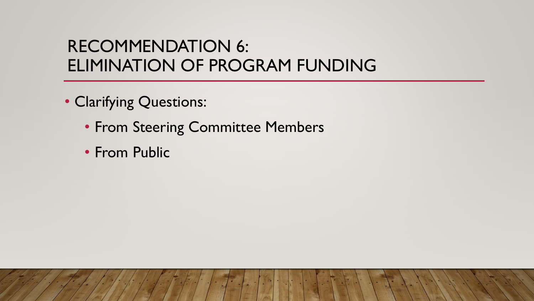#### RECOMMENDATION 6: ELIMINATION OF PROGRAM FUNDING

- Clarifying Questions:
	- From Steering Committee Members
	- From Public